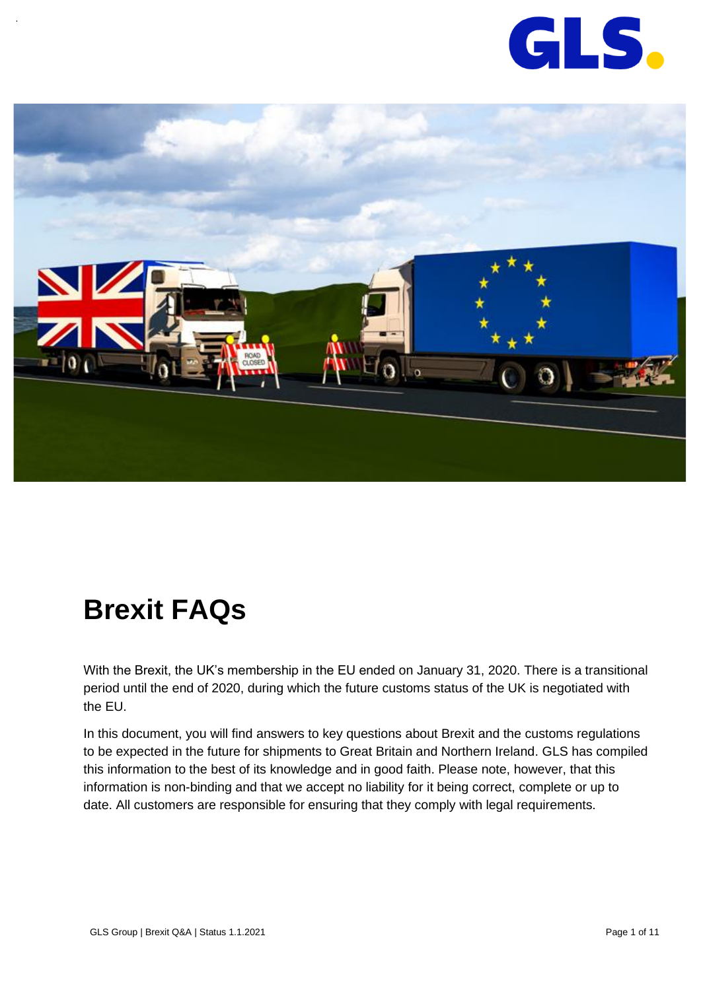

<span id="page-0-0"></span>

# **Brexit FAQs**

With the Brexit, the UK's membership in the EU ended on January 31, 2020. There is a transitional period until the end of 2020, during which the future customs status of the UK is negotiated with the EU.

In this document, you will find answers to key questions about Brexit and the customs regulations to be expected in the future for shipments to Great Britain and Northern Ireland. GLS has compiled this information to the best of its knowledge and in good faith. Please note, however, that this information is non-binding and that we accept no liability for it being correct, complete or up to date. All customers are responsible for ensuring that they comply with legal requirements.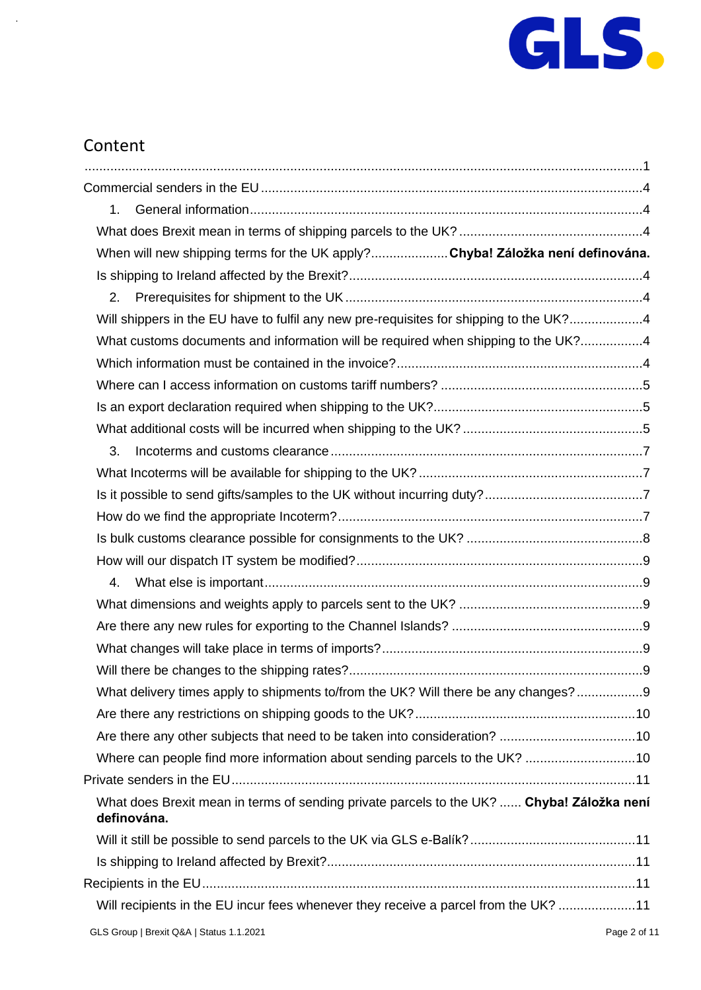

# Content

| 1.                                                                                                       |  |
|----------------------------------------------------------------------------------------------------------|--|
|                                                                                                          |  |
| When will new shipping terms for the UK apply?Chyba! Záložka není definována.                            |  |
|                                                                                                          |  |
| 2.                                                                                                       |  |
| Will shippers in the EU have to fulfil any new pre-requisites for shipping to the UK?4                   |  |
| What customs documents and information will be required when shipping to the UK?4                        |  |
|                                                                                                          |  |
|                                                                                                          |  |
|                                                                                                          |  |
|                                                                                                          |  |
| 3.                                                                                                       |  |
|                                                                                                          |  |
|                                                                                                          |  |
|                                                                                                          |  |
|                                                                                                          |  |
|                                                                                                          |  |
| 4.                                                                                                       |  |
|                                                                                                          |  |
|                                                                                                          |  |
|                                                                                                          |  |
|                                                                                                          |  |
| What delivery times apply to shipments to/from the UK? Will there be any changes?9                       |  |
|                                                                                                          |  |
| Are there any other subjects that need to be taken into consideration? 10                                |  |
| Where can people find more information about sending parcels to the UK? 10                               |  |
|                                                                                                          |  |
| What does Brexit mean in terms of sending private parcels to the UK?  Chyba! Záložka není<br>definována. |  |
|                                                                                                          |  |
|                                                                                                          |  |
|                                                                                                          |  |
| Will recipients in the EU incur fees whenever they receive a parcel from the UK? 11                      |  |
|                                                                                                          |  |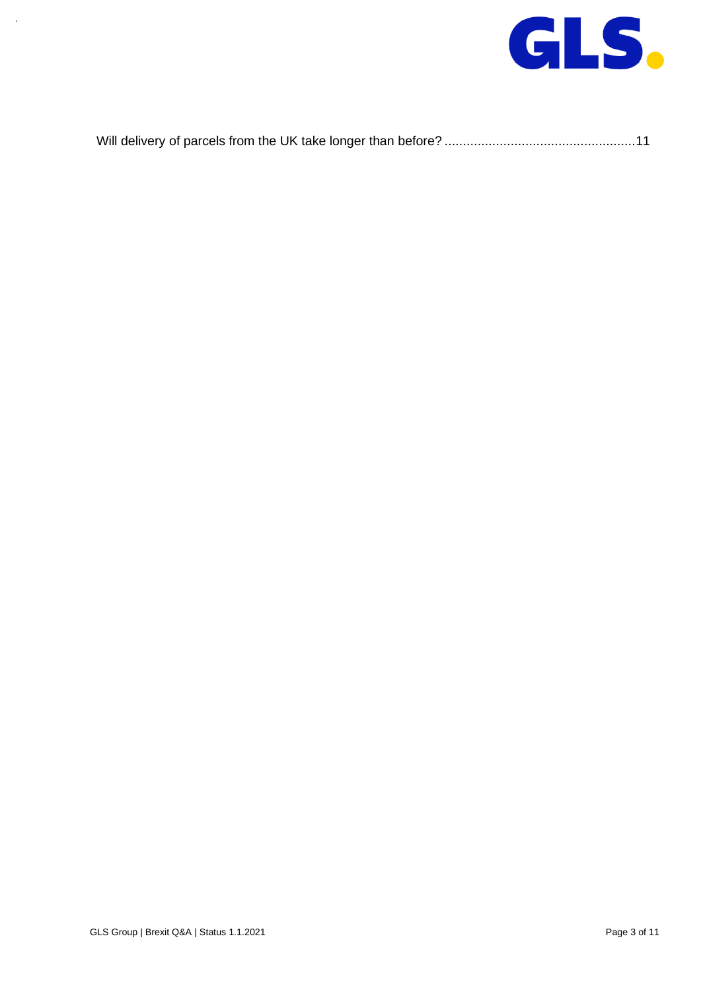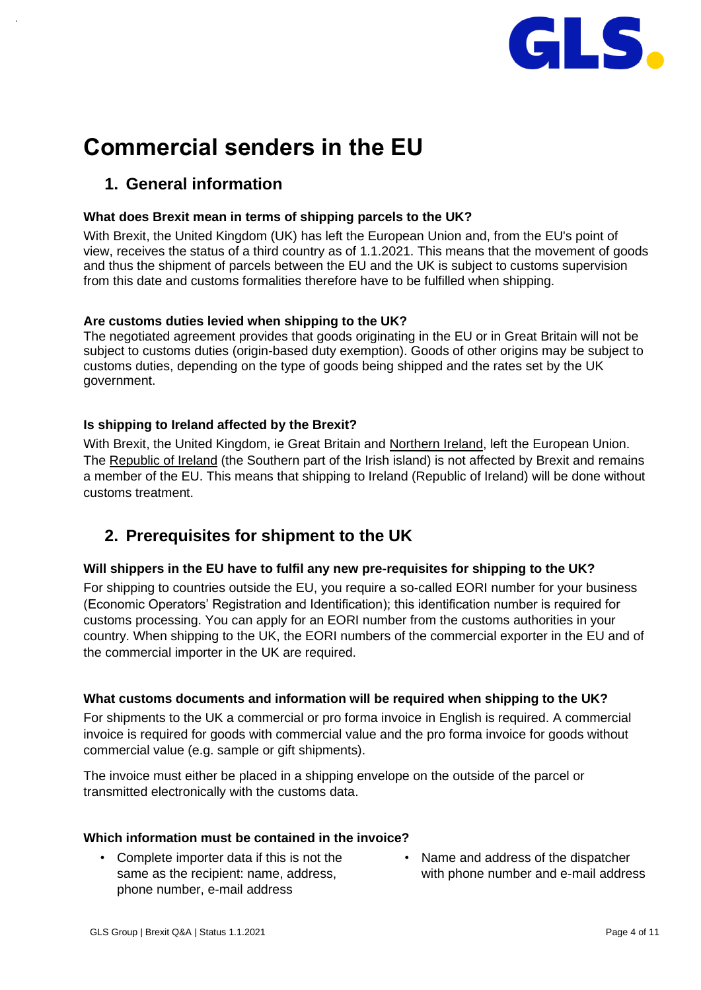

# <span id="page-3-0"></span>**Commercial senders in the EU**

# <span id="page-3-1"></span>**1. General information**

# <span id="page-3-2"></span>**What does Brexit mean in terms of shipping parcels to the UK?**

With Brexit, the United Kingdom (UK) has left the European Union and, from the EU's point of view, receives the status of a third country as of 1.1.2021. This means that the movement of goods and thus the shipment of parcels between the EU and the UK is subject to customs supervision from this date and customs formalities therefore have to be fulfilled when shipping.

# **Are customs duties levied when shipping to the UK?**

The negotiated agreement provides that goods originating in the EU or in Great Britain will not be subject to customs duties (origin-based duty exemption). Goods of other origins may be subject to customs duties, depending on the type of goods being shipped and the rates set by the UK government.

# <span id="page-3-3"></span>**Is shipping to Ireland affected by the Brexit?**

With Brexit, the United Kingdom, ie Great Britain and Northern Ireland, left the European Union. The Republic of Ireland (the Southern part of the Irish island) is not affected by Brexit and remains a member of the EU. This means that shipping to Ireland (Republic of Ireland) will be done without customs treatment.

# <span id="page-3-4"></span>**2. Prerequisites for shipment to the UK**

# <span id="page-3-5"></span>**Will shippers in the EU have to fulfil any new pre-requisites for shipping to the UK?**

For shipping to countries outside the EU, you require a so-called EORI number for your business (Economic Operators' Registration and Identification); this identification number is required for customs processing. You can apply for an EORI number from the customs authorities in your country. When shipping to the UK, the EORI numbers of the commercial exporter in the EU and of the commercial importer in the UK are required.

# <span id="page-3-6"></span>**What customs documents and information will be required when shipping to the UK?**

For shipments to the UK a commercial or pro forma invoice in English is required. A commercial invoice is required for goods with commercial value and the pro forma invoice for goods without commercial value (e.g. sample or gift shipments).

The invoice must either be placed in a shipping envelope on the outside of the parcel or transmitted electronically with the customs data.

# <span id="page-3-7"></span>**Which information must be contained in the invoice?**

- Complete importer data if this is not the same as the recipient: name, address, phone number, e-mail address
- Name and address of the dispatcher with phone number and e-mail address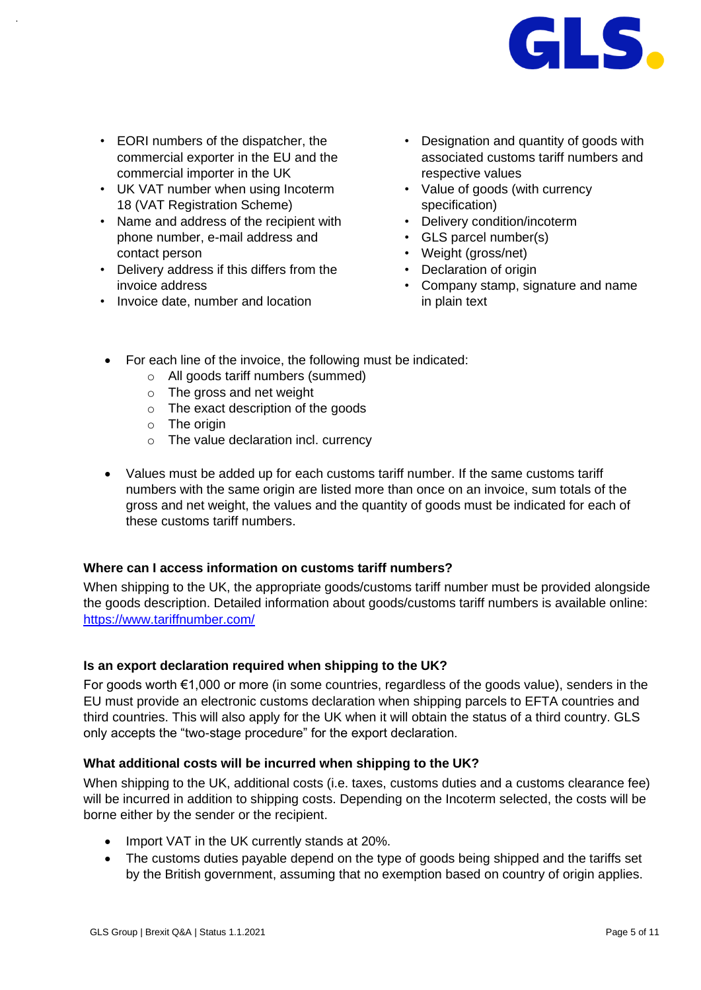

- EORI numbers of the dispatcher, the commercial exporter in the EU and the commercial importer in the UK
- UK VAT number when using Incoterm 18 (VAT Registration Scheme)
- Name and address of the recipient with phone number, e-mail address and contact person
- Delivery address if this differs from the invoice address
- Invoice date, number and location
- Designation and quantity of goods with associated customs tariff numbers and respective values
- Value of goods (with currency specification)
- Delivery condition/incoterm
- GLS parcel number(s)
- Weight (gross/net)
- Declaration of origin
- Company stamp, signature and name in plain text
- For each line of the invoice, the following must be indicated:
	- o All goods tariff numbers (summed)
	- o The gross and net weight
	- o The exact description of the goods
	- $\circ$  The origin
	- o The value declaration incl. currency
- Values must be added up for each customs tariff number. If the same customs tariff numbers with the same origin are listed more than once on an invoice, sum totals of the gross and net weight, the values and the quantity of goods must be indicated for each of these customs tariff numbers.

# <span id="page-4-0"></span>**Where can I access information on customs tariff numbers?**

When shipping to the UK, the appropriate goods/customs tariff number must be provided alongside the goods description. Detailed information about goods/customs tariff numbers is available online: <https://www.tariffnumber.com/>

# <span id="page-4-1"></span>**Is an export declaration required when shipping to the UK?**

For goods worth €1,000 or more (in some countries, regardless of the goods value), senders in the EU must provide an electronic customs declaration when shipping parcels to EFTA countries and third countries. This will also apply for the UK when it will obtain the status of a third country. GLS only accepts the "two-stage procedure" for the export declaration.

# <span id="page-4-2"></span>**What additional costs will be incurred when shipping to the UK?**

When shipping to the UK, additional costs (i.e. taxes, customs duties and a customs clearance fee) will be incurred in addition to shipping costs. Depending on the Incoterm selected, the costs will be borne either by the sender or the recipient.

- Import VAT in the UK currently stands at 20%.
- The customs duties payable depend on the type of goods being shipped and the tariffs set by the British government, assuming that no exemption based on country of origin applies.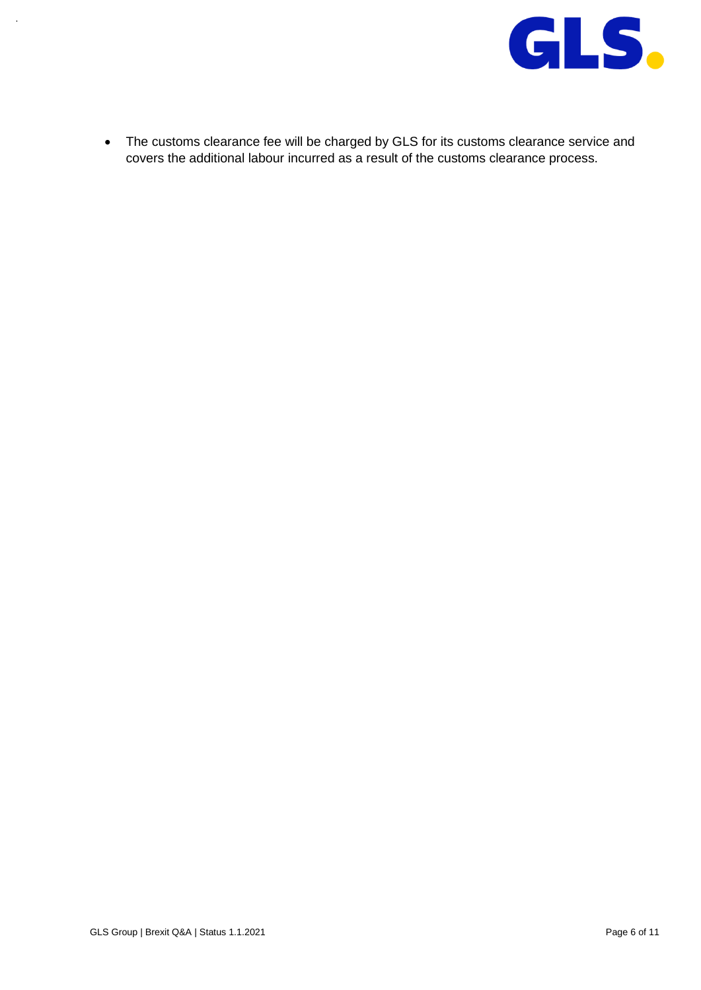

• The customs clearance fee will be charged by GLS for its customs clearance service and covers the additional labour incurred as a result of the customs clearance process.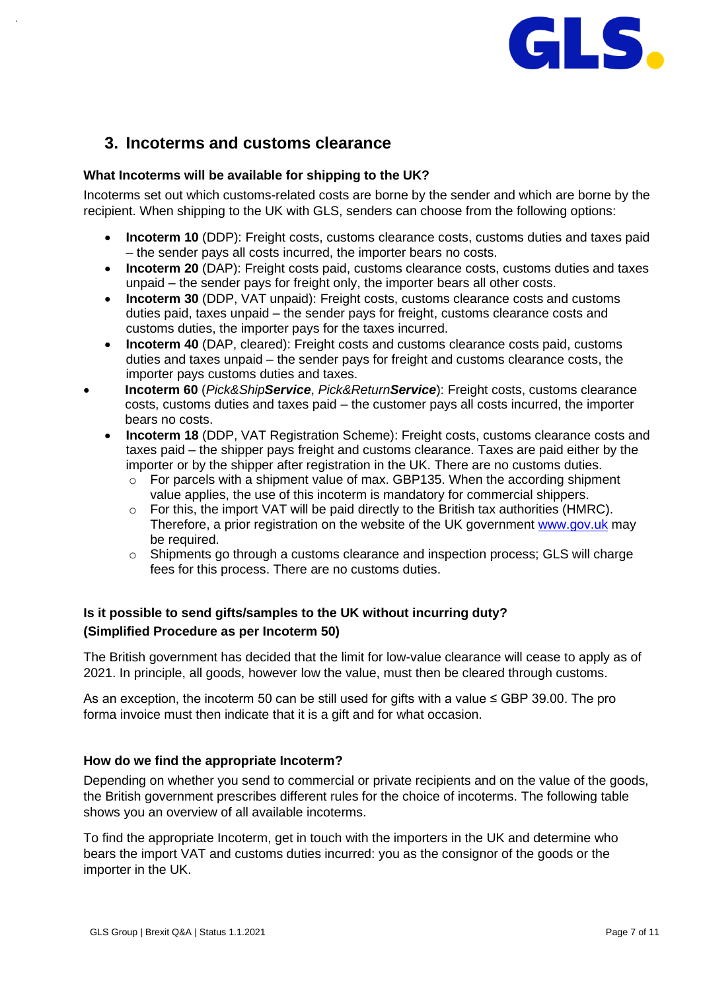

# <span id="page-6-0"></span>**3. Incoterms and customs clearance**

#### <span id="page-6-1"></span>**What Incoterms will be available for shipping to the UK?**

Incoterms set out which customs-related costs are borne by the sender and which are borne by the recipient. When shipping to the UK with GLS, senders can choose from the following options:

- **Incoterm 10** (DDP): Freight costs, customs clearance costs, customs duties and taxes paid – the sender pays all costs incurred, the importer bears no costs.
- **Incoterm 20** (DAP): Freight costs paid, customs clearance costs, customs duties and taxes unpaid – the sender pays for freight only, the importer bears all other costs.
- **Incoterm 30** (DDP, VAT unpaid): Freight costs, customs clearance costs and customs duties paid, taxes unpaid – the sender pays for freight, customs clearance costs and customs duties, the importer pays for the taxes incurred.
- **Incoterm 40** (DAP, cleared): Freight costs and customs clearance costs paid, customs duties and taxes unpaid – the sender pays for freight and customs clearance costs, the importer pays customs duties and taxes.
- **Incoterm 60** (*Pick&ShipService*, *Pick&ReturnService*): Freight costs, customs clearance costs, customs duties and taxes paid – the customer pays all costs incurred, the importer bears no costs.
	- **Incoterm 18** (DDP, VAT Registration Scheme): Freight costs, customs clearance costs and taxes paid – the shipper pays freight and customs clearance. Taxes are paid either by the importer or by the shipper after registration in the UK. There are no customs duties.
		- o For parcels with a shipment value of max. GBP135. When the according shipment value applies, the use of this incoterm is mandatory for commercial shippers.
		- $\circ$  For this, the import VAT will be paid directly to the British tax authorities (HMRC). Therefore, a prior registration on the website of the UK government [www.gov.uk](http://www.gov.uk/) may be required.
		- $\circ$  Shipments go through a customs clearance and inspection process; GLS will charge fees for this process. There are no customs duties.

# <span id="page-6-2"></span>**Is it possible to send gifts/samples to the UK without incurring duty? (Simplified Procedure as per Incoterm 50)**

The British government has decided that the limit for low-value clearance will cease to apply as of 2021. In principle, all goods, however low the value, must then be cleared through customs.

As an exception, the incoterm 50 can be still used for gifts with a value ≤ GBP 39.00. The pro forma invoice must then indicate that it is a gift and for what occasion.

# <span id="page-6-3"></span>**How do we find the appropriate Incoterm?**

Depending on whether you send to commercial or private recipients and on the value of the goods, the British government prescribes different rules for the choice of incoterms. The following table shows you an overview of all available incoterms.

To find the appropriate Incoterm, get in touch with the importers in the UK and determine who bears the import VAT and customs duties incurred: you as the consignor of the goods or the importer in the UK.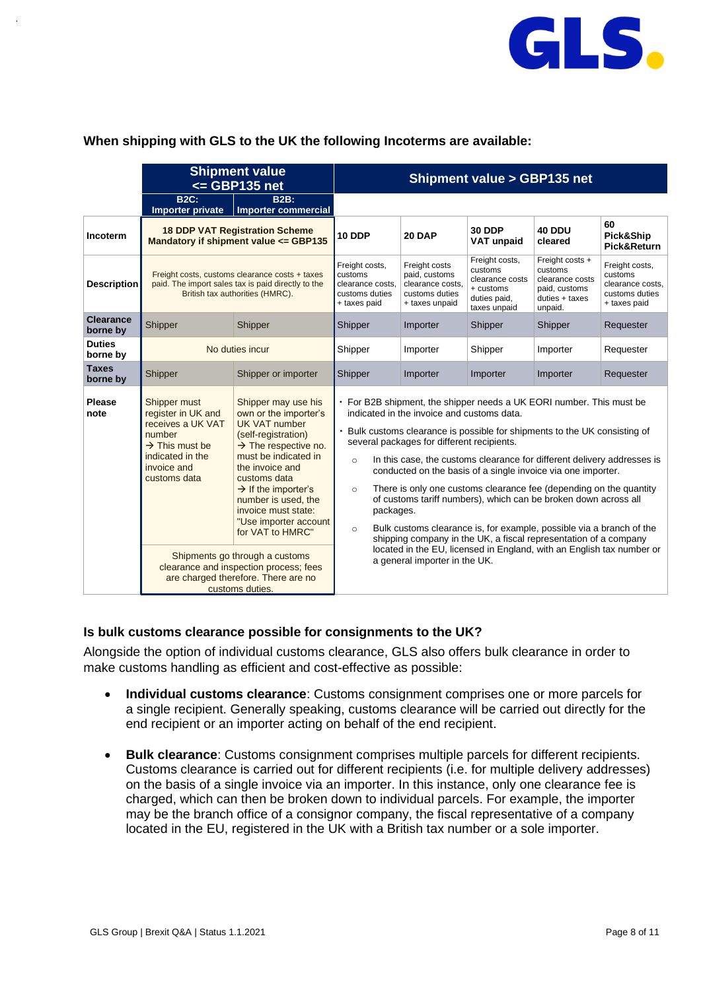

#### **When shipping with GLS to the UK the following Incoterms are available:**

|                              | <b>Shipment value</b><br><= GBP135 net                                                                                                             |                                                                                                                                                                                                                                                                                                                          | <b>Shipment value &gt; GBP135 net</b>                                                                                                  |                                                                                                                                                                                                                                                                                                                                                                                                                                                                                                                                                                                  |                                                                                           |                                                                                             |                                                                                 |
|------------------------------|----------------------------------------------------------------------------------------------------------------------------------------------------|--------------------------------------------------------------------------------------------------------------------------------------------------------------------------------------------------------------------------------------------------------------------------------------------------------------------------|----------------------------------------------------------------------------------------------------------------------------------------|----------------------------------------------------------------------------------------------------------------------------------------------------------------------------------------------------------------------------------------------------------------------------------------------------------------------------------------------------------------------------------------------------------------------------------------------------------------------------------------------------------------------------------------------------------------------------------|-------------------------------------------------------------------------------------------|---------------------------------------------------------------------------------------------|---------------------------------------------------------------------------------|
|                              | <b>B2C:</b><br>Importer private                                                                                                                    | <b>B2B:</b><br><b>Importer commercial</b>                                                                                                                                                                                                                                                                                |                                                                                                                                        |                                                                                                                                                                                                                                                                                                                                                                                                                                                                                                                                                                                  |                                                                                           |                                                                                             |                                                                                 |
| Incoterm                     | <b>18 DDP VAT Registration Scheme</b><br>Mandatory if shipment value <= GBP135                                                                     |                                                                                                                                                                                                                                                                                                                          | <b>10 DDP</b>                                                                                                                          | 20 DAP                                                                                                                                                                                                                                                                                                                                                                                                                                                                                                                                                                           | <b>30 DDP</b><br><b>VAT unpaid</b>                                                        | 40 DDU<br>cleared                                                                           | 60<br>Pick&Ship<br>Pick&Return                                                  |
| <b>Description</b>           | Freight costs, customs clearance costs + taxes<br>paid. The import sales tax is paid directly to the<br>British tax authorities (HMRC).            |                                                                                                                                                                                                                                                                                                                          | Freight costs,<br>customs<br>clearance costs.<br>customs duties<br>+ taxes paid                                                        | Freight costs<br>paid, customs<br>clearance costs.<br>customs duties<br>+ taxes unpaid                                                                                                                                                                                                                                                                                                                                                                                                                                                                                           | Freight costs,<br>customs<br>clearance costs<br>+ customs<br>duties paid,<br>taxes unpaid | Freight costs +<br>customs<br>clearance costs<br>paid, customs<br>duties + taxes<br>unpaid. | Freight costs,<br>customs<br>clearance costs.<br>customs duties<br>+ taxes paid |
| <b>Clearance</b><br>borne by | Shipper                                                                                                                                            | Shipper                                                                                                                                                                                                                                                                                                                  | Shipper                                                                                                                                | Importer                                                                                                                                                                                                                                                                                                                                                                                                                                                                                                                                                                         | Shipper                                                                                   | Shipper                                                                                     | Requester                                                                       |
| <b>Duties</b><br>borne by    |                                                                                                                                                    | No duties incur                                                                                                                                                                                                                                                                                                          | Shipper                                                                                                                                | Importer                                                                                                                                                                                                                                                                                                                                                                                                                                                                                                                                                                         | Shipper                                                                                   | Importer                                                                                    | Requester                                                                       |
| <b>Taxes</b><br>borne by     | Shipper                                                                                                                                            | Shipper or importer                                                                                                                                                                                                                                                                                                      | Shipper                                                                                                                                | Importer                                                                                                                                                                                                                                                                                                                                                                                                                                                                                                                                                                         | Importer                                                                                  | Importer                                                                                    | Requester                                                                       |
| <b>Please</b><br>note        | Shipper must<br>register in UK and<br>receives a UK VAT<br>number<br>$\rightarrow$ This must be<br>indicated in the<br>invoice and<br>customs data | Shipper may use his<br>own or the importer's<br><b>UK VAT number</b><br>(self-registration)<br>$\rightarrow$ The respective no.<br>must be indicated in<br>the invoice and<br>customs data<br>$\rightarrow$ If the importer's<br>number is used, the<br>invoice must state:<br>"Use importer account<br>for VAT to HMRC" | indicated in the invoice and customs data.<br>several packages for different recipients.<br>$\circ$<br>$\circ$<br>packages.<br>$\circ$ | • For B2B shipment, the shipper needs a UK EORI number. This must be<br>Bulk customs clearance is possible for shipments to the UK consisting of<br>In this case, the customs clearance for different delivery addresses is<br>conducted on the basis of a single invoice via one importer.<br>There is only one customs clearance fee (depending on the quantity<br>of customs tariff numbers), which can be broken down across all<br>Bulk customs clearance is, for example, possible via a branch of the<br>shipping company in the UK, a fiscal representation of a company |                                                                                           |                                                                                             |                                                                                 |
|                              |                                                                                                                                                    | Shipments go through a customs<br>clearance and inspection process; fees<br>are charged therefore. There are no<br>customs duties.                                                                                                                                                                                       |                                                                                                                                        | located in the EU, licensed in England, with an English tax number or<br>a general importer in the UK.                                                                                                                                                                                                                                                                                                                                                                                                                                                                           |                                                                                           |                                                                                             |                                                                                 |

#### <span id="page-7-0"></span>**Is bulk customs clearance possible for consignments to the UK?**

Alongside the option of individual customs clearance, GLS also offers bulk clearance in order to make customs handling as efficient and cost-effective as possible:

- **Individual customs clearance**: Customs consignment comprises one or more parcels for a single recipient. Generally speaking, customs clearance will be carried out directly for the end recipient or an importer acting on behalf of the end recipient.
- **Bulk clearance**: Customs consignment comprises multiple parcels for different recipients. Customs clearance is carried out for different recipients (i.e. for multiple delivery addresses) on the basis of a single invoice via an importer. In this instance, only one clearance fee is charged, which can then be broken down to individual parcels. For example, the importer may be the branch office of a consignor company, the fiscal representative of a company located in the EU, registered in the UK with a British tax number or a sole importer.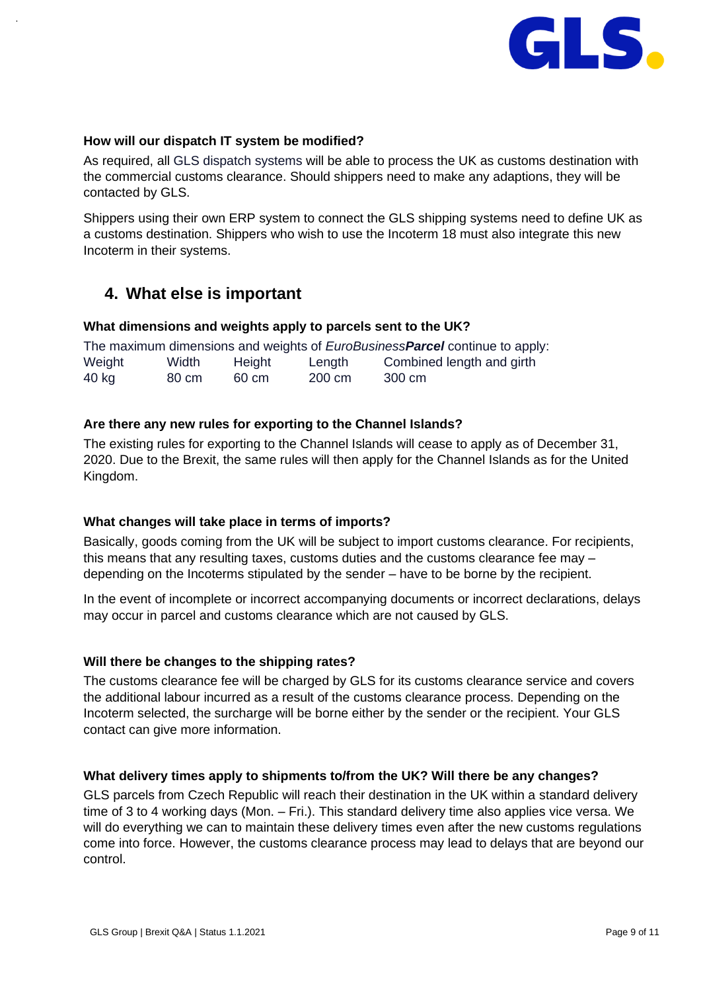

### <span id="page-8-0"></span>**How will our dispatch IT system be modified?**

As required, all GLS dispatch systems will be able to process the UK as customs destination with the commercial customs clearance. Should shippers need to make any adaptions, they will be contacted by GLS.

Shippers using their own ERP system to connect the GLS shipping systems need to define UK as a customs destination. Shippers who wish to use the Incoterm 18 must also integrate this new Incoterm in their systems.

# <span id="page-8-1"></span>**4. What else is important**

#### <span id="page-8-2"></span>**What dimensions and weights apply to parcels sent to the UK?**

|        |       |        |        | The maximum dimensions and weights of <i>EuroBusinessParcel</i> continue to apply: |
|--------|-------|--------|--------|------------------------------------------------------------------------------------|
| Weight | Width | Height | Length | Combined length and girth                                                          |
| 40 kg  | 80 cm | 60 cm  | 200 cm | 300 cm                                                                             |

# <span id="page-8-3"></span>**Are there any new rules for exporting to the Channel Islands?**

The existing rules for exporting to the Channel Islands will cease to apply as of December 31, 2020. Due to the Brexit, the same rules will then apply for the Channel Islands as for the United Kingdom.

#### <span id="page-8-4"></span>**What changes will take place in terms of imports?**

Basically, goods coming from the UK will be subject to import customs clearance. For recipients, this means that any resulting taxes, customs duties and the customs clearance fee may – depending on the Incoterms stipulated by the sender – have to be borne by the recipient.

In the event of incomplete or incorrect accompanying documents or incorrect declarations, delays may occur in parcel and customs clearance which are not caused by GLS.

#### <span id="page-8-5"></span>**Will there be changes to the shipping rates?**

The customs clearance fee will be charged by GLS for its customs clearance service and covers the additional labour incurred as a result of the customs clearance process. Depending on the Incoterm selected, the surcharge will be borne either by the sender or the recipient. Your GLS contact can give more information.

#### <span id="page-8-6"></span>**What delivery times apply to shipments to/from the UK? Will there be any changes?**

GLS parcels from Czech Republic will reach their destination in the UK within a standard delivery time of 3 to 4 working days (Mon. – Fri.). This standard delivery time also applies vice versa. We will do everything we can to maintain these delivery times even after the new customs regulations come into force. However, the customs clearance process may lead to delays that are beyond our control.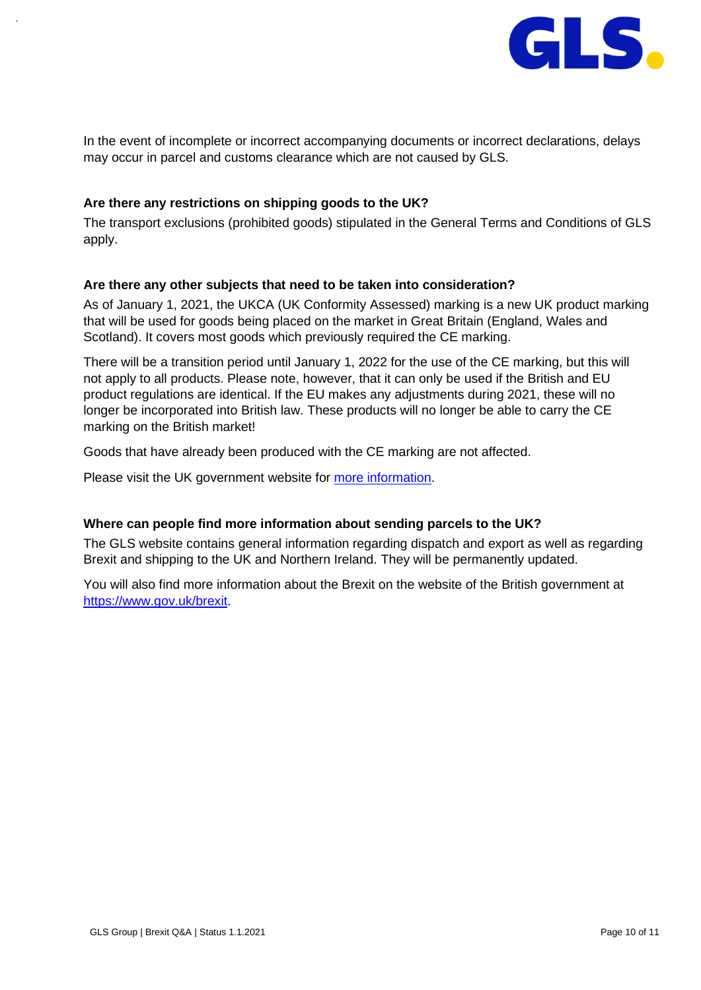

In the event of incomplete or incorrect accompanying documents or incorrect declarations, delays may occur in parcel and customs clearance which are not caused by GLS.

#### <span id="page-9-0"></span>**Are there any restrictions on shipping goods to the UK?**

The transport exclusions (prohibited goods) stipulated in the [General Terms and Conditions](https://gls-group.com/DE/en/gtc-standard) of GLS apply.

#### <span id="page-9-1"></span>**Are there any other subjects that need to be taken into consideration?**

As of January 1, 2021, the UKCA (UK Conformity Assessed) marking is a new UK product marking that will be used for goods being placed on the market in Great Britain (England, Wales and Scotland). It covers most goods which previously required the CE marking.

There will be a transition period until January 1, 2022 for the use of the CE marking, but this will not apply to all products. Please note, however, that it can only be used if the British and EU product regulations are identical. If the EU makes any adjustments during 2021, these will no longer be incorporated into British law. These products will no longer be able to carry the CE marking on the British market!

Goods that have already been produced with the CE marking are not affected.

Please visit the UK government website for [more information.](https://www.gov.uk/guidance/using-the-ukca-mark-from-1-january-2021)

#### <span id="page-9-2"></span>**Where can people find more information about sending parcels to the UK?**

The GLS website contains general information regarding dispatch and export as well as regarding Brexit and shipping to the UK and Northern Ireland. They will be permanently updated.

You will also find more information about the Brexit on the website of the British government at [https://www.gov.uk/brexit.](https://www.gov.uk/brexit)